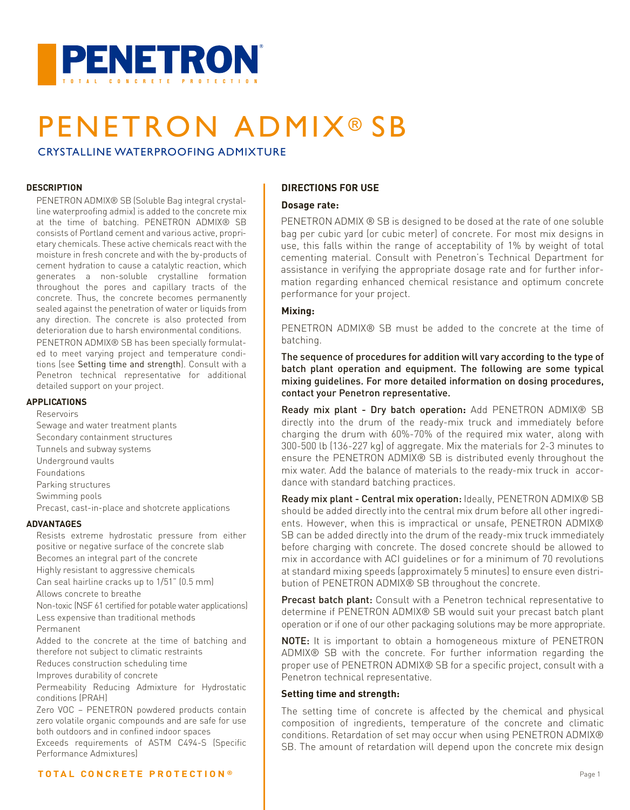

# PENETRON ADMIX<sup>®</sup> SB

CRYSTALLINE WATERPROOFING ADMIXTURE

### **DESCRIPTION**

PENETRON ADMIX® SB (Soluble Bag integral crystalline waterproofing admix) is added to the concrete mix at the time of batching. PENETRON ADMIX® SB consists of Portland cement and various active, proprietary chemicals. These active chemicals react with the moisture in fresh concrete and with the by-products of cement hydration to cause a catalytic reaction, which generates a non-soluble crystalline formation throughout the pores and capillary tracts of the concrete. Thus, the concrete becomes permanently sealed against the penetration of water or liquids from any direction. The concrete is also protected from deterioration due to harsh environmental conditions.

PENETRON ADMIX® SB has been specially formulated to meet varying project and temperature conditions (see Setting time and strength). Consult with a Penetron technical representative for additional detailed support on your project.

### **APPLICATIONS**

Reservoirs

Sewage and water treatment plants Secondary containment structures Tunnels and subway systems Underground vaults Foundations Parking structures Swimming pools Precast, cast-in-place and shotcrete applications **ADVANTAGES**

Resists extreme hydrostatic pressure from either positive or negative surface of the concrete slab Becomes an integral part of the concrete Highly resistant to aggressive chemicals Can seal hairline cracks up to 1/51" (0.5 mm) Allows concrete to breathe

Non-toxic (NSF 61 certified for potable water applications) Less expensive than traditional methods

Permanent

Added to the concrete at the time of batching and therefore not subject to climatic restraints

Reduces construction scheduling time

Improves durability of concrete

Permeability Reducing Admixture for Hydrostatic conditions (PRAH)

Zero VOC – PENETRON powdered products contain zero volatile organic compounds and are safe for use both outdoors and in confined indoor spaces

Exceeds requirements of ASTM C494-S (Specific Performance Admixtures)

### **DIRECTIONS FOR USE DIRECTIONS FOR USE**

### **Dosage rate: Dosage rate:**

PENETRON ADMIX ® SB is designed to be dosed at the rate of one soluble PENETRON ADMIX ® SB is designed to be dosed at the rate of one soluble bag per cubic yard (or cubic meter) of concrete. For most mix designs in bag per cubic yard (or cubic meter) of concrete. For most mix designs in use, this falls within the range of acceptability of 1% by weight of total cementing material. Consult with Penetron's Technical Department for assistance in verifying the appropriate dosage rate and for further information regarding enhanced chemical resistance and optimum concrete performance for your project.

### **Mixing: Mixing:**

PENETRON ADMIX® SB must be added to the concrete at the time of PENETRON ADMIX® SB must be added to the concrete at the time of batching. batching.

The sequence of procedures for addition will vary according to the type of The sequence of procedures for addition will vary according to the type of batch plant operation and equipment. The following are some typical batch plant operation and equipment. The following are some typical mixing guidelines. For more detailed information on dosing procedures, mixing guidelines. For more detailed information on dosing procedures, contact your Penetron representative. contact your Penetron representative.

Ready mix plant - Dry batch operation**:** Add PENETRON ADMIX® SB Ready mix plant - Dry batch operation**:** Add PENETRON ADMIX® SB directly into the drum of the ready-mix truck and immediately before directly into the drum of the ready-mix truck and immediately before charging the drum with 60%-70% of the required mix water, along with charging the drum with 60%-70% of the required mix water, along with 300-500 lb (136-227 kg) of aggregate. Mix the materials for 2-3 minutes to 300-500 lb (136-227 kg) of aggregate. Mix the materials for 2-3 minutes to ensure the PENETRON ADMIX® SB is distributed evenly throughout the ensure the PENETRON ADMIX® SB is distributed evenly throughout the mix water. Add the balance of materials to the ready-mix truck in accor-mix water. Add the balance of materials to the ready-mix truck in accordance with standard batching practices. dance with standard batching practices.

Ready mix plant - Central mix operation: Ideally, PENETRON ADMIX® SB should be added directly into the central mix drum before all other ingredi-should be added directly into the central mix drum before all other ingredients. However, when this is impractical or unsafe, PENETRON ADMIX® ents. However, when this is impractical or unsafe, PENETRON ADMIX® SB can be added directly into the drum of the ready-mix truck immediately SB can be added directly into the drum of the ready-mix truck immediately before charging with concrete. The dosed concrete should be allowed to before charging with concrete. The dosed concrete should be allowed to mix in accordance with ACI guidelines or for a minimum of 70 revolutions mix in accordance with ACI guidelines or for a minimum of 70 revolutions at standard mixing speeds (approximately 5 minutes) to ensure even distri-at standard mixing speeds (approximately 5minutes) to ensure even distribution of PENETRON ADMIX® SB throughout the concrete. bution of PENETRON ADMIX® SB throughout the concrete.

Precast batch plant: Consult with a Penetron technical representative to determine if PENETRON ADMIX® SB would suit your precast batch plant determine if PENETRON ADMIX® SB would suit your precast batch plant operation or if one of our other packaging solutions may be more appropriate. operation or if one of our other packaging solutions may be more appropriate.

NOTE: It is important to obtain a homogeneous mixture of PENETRON NOTE: It is important to obtain a homogeneous mixture of PENETRON ADMIX® SB with the concrete. For further information regarding the ADMIX® SB with the concrete. For further information regarding the proper use of PENETRON ADMIX® SB for a specific project, consult with a proper use of PENETRON ADMIX® SB for a specific project, consult with a Penetron technical representative. Penetron technical representative.

### **Setting time and strength: Setting time and strength:**

The setting time of concrete is affected by the chemical and physical The setting time of concrete is affected by the chemical and physical composition of ingredients, temperature of the concrete and climatic composition of ingredients, temperature of the concrete and climatic conditions. Retardation of set may occur when using PENETRON ADMIX® conditions. Retardation of set may occur when using PENETRON ADMIX® SB. The amount of retardation will depend upon the concrete mix design SB. The amount of retardation will depend upon the concrete mix design